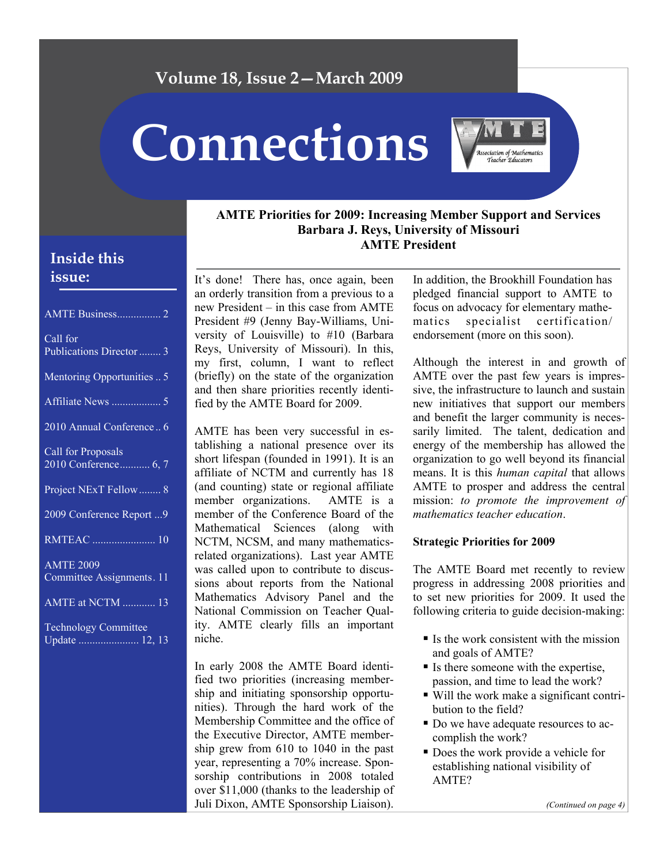# **Volume 18, Issue 2—March 2009**

**Connections** 



## **AMTE Priorities for 2009: Increasing Member Support and Services Barbara J. Reys, University of Missouri AMTE President**

It's done! There has, once again, been an orderly transition from a previous to a new President – in this case from AMTE President #9 (Jenny Bay-Williams, University of Louisville) to #10 (Barbara Reys, University of Missouri). In this, my first, column, I want to reflect (briefly) on the state of the organization and then share priorities recently identified by the AMTE Board for 2009.

AMTE has been very successful in establishing a national presence over its short lifespan (founded in 1991). It is an affiliate of NCTM and currently has 18 (and counting) state or regional affiliate member organizations. AMTE is a member of the Conference Board of the Mathematical Sciences (along with NCTM, NCSM, and many mathematicsrelated organizations). Last year AMTE was called upon to contribute to discussions about reports from the National Mathematics Advisory Panel and the National Commission on Teacher Quality. AMTE clearly fills an important niche.

In early 2008 the AMTE Board identified two priorities (increasing membership and initiating sponsorship opportunities). Through the hard work of the Membership Committee and the office of the Executive Director, AMTE membership grew from 610 to 1040 in the past year, representing a 70% increase. Sponsorship contributions in 2008 totaled over \$11,000 (thanks to the leadership of Juli Dixon, AMTE Sponsorship Liaison). In addition, the Brookhill Foundation has pledged financial support to AMTE to focus on advocacy for elementary mathematics specialist certification/ endorsement (more on this soon).

Although the interest in and growth of AMTE over the past few years is impressive, the infrastructure to launch and sustain new initiatives that support our members and benefit the larger community is necessarily limited. The talent, dedication and energy of the membership has allowed the organization to go well beyond its financial means. It is this *human capital* that allows AMTE to prosper and address the central mission: *to promote the improvement of mathematics teacher education*.

#### **Strategic Priorities for 2009**

The AMTE Board met recently to review progress in addressing 2008 priorities and to set new priorities for 2009. It used the following criteria to guide decision-making:

- $\blacksquare$  Is the work consistent with the mission and goals of AMTE?
- $\blacksquare$  Is there someone with the expertise, passion, and time to lead the work?
- Will the work make a significant contribution to the field?
- Do we have adequate resources to accomplish the work?
- Does the work provide a vehicle for establishing national visibility of AMTE?

#### *(Continued on page 4)*

# **Inside this issue:**

| AMTE Business 2                               |
|-----------------------------------------------|
| Call for<br>Publications Director  3          |
| Mentoring Opportunities  5                    |
|                                               |
| 2010 Annual Conference 6                      |
| Call for Proposals<br>2010 Conference 6, 7    |
| Project NExT Fellow 8                         |
| 2009 Conference Report  9                     |
| <b>RMTEAC</b> 10                              |
| <b>AMTE 2009</b><br>Committee Assignments. 11 |
| <b>AMTE at NCTM</b> 13                        |
| Technology Committee                          |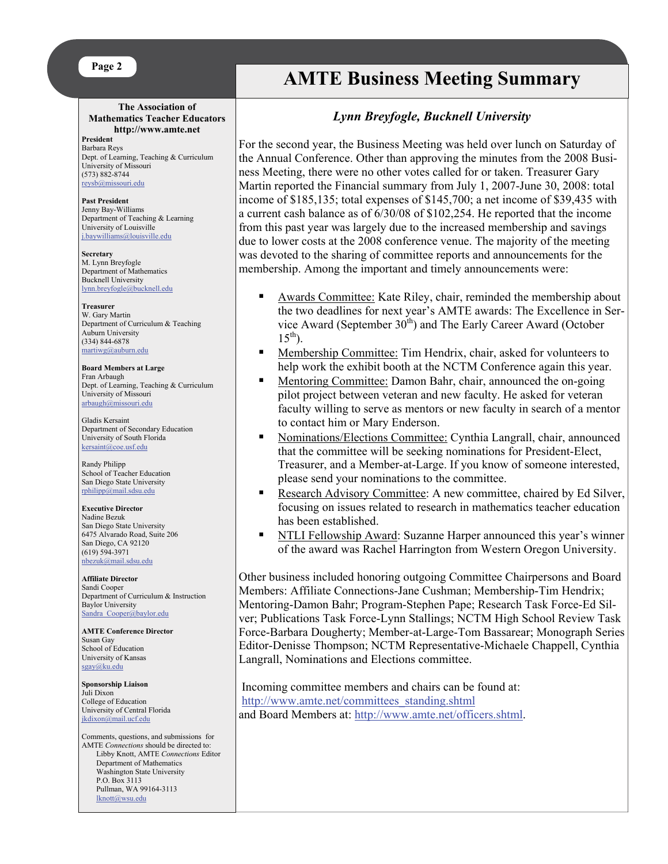#### **Page 2**

#### **The Association of Mathematics Teacher Educators http://www.amte.net**

**President**  Barbara Reys Dept. of Learning, Teaching & Curriculum University of Missouri (573) 882-8744 [reysb@missouri.edu](mailto:reysb@missouri.edu)

**Past President** Jenny Bay-Williams Department of Teaching & Learning University of Louisville [j.baywilliams@louisville.edu](mailto:j.baywilliams@louisville.edu)

**Secretary** M. Lynn Breyfogle Department of Mathematics Bucknell University [lynn.breyfogle@bucknell.edu](mailto:lynn.breyfogle@bucknell.edu)

**Treasurer** W. Gary Martin Department of Curriculum & Teaching Auburn University (334) 844-6878 [martiwg@auburn.edu](mailto:martiwg@auburn.edu)

**Board Members at Large**  Fran Arbaugh Dept. of Learning, Teaching & Curriculum University of Missouri [arbaugh@missouri.edu](mailto:arbaugh@missouri.edu)

Gladis Kersaint Department of Secondary Education University of South Florida [kersaint@coe.usf.edu](mailto:kersaint@coe.usf.edu)

Randy Philipp School of Teacher Education San Diego State University [rphilipp@mail.sdsu.edu](mailto:rphilipp@mail.sdsu.edu)

**Executive Director** Nadine Bezuk San Diego State University 6475 Alvarado Road, Suite 206 San Diego, CA 92120 (619) 594-3971 [nbezuk@mail.sdsu.edu](mailto:nbezuk@mail.sdsu.edu)

**Affiliate Director**  Sandi Cooper Department of Curriculum & Instruction Baylor University [Sandra\\_Cooper@baylor.edu](mailto:Sandra_Cooper@baylor.edu)

**AMTE Conference Director**  Susan Gay School of Education University of Kansas [sgay@ku.edu](mailto:sgay@ku.edu)

**Sponsorship Liaison**  Juli Dixon College of Education University of Central Florida [jkdixon@mail.ucf.edu](mailto:jkdixon@mail.ucf.edu)

Comments, questions, and submissions for AMTE *Connections* should be directed to: Libby Knott, AMTE *Connections* Editor Department of Mathematics Washington State University P.O. Box 3113 Pullman, WA 99164-3113 [lknott@wsu.edu](mailto:lknott@wsu.edu)

# **AMTE Business Meeting Summary**

## *Lynn Breyfogle, Bucknell University*

For the second year, the Business Meeting was held over lunch on Saturday of the Annual Conference. Other than approving the minutes from the 2008 Business Meeting, there were no other votes called for or taken. Treasurer Gary Martin reported the Financial summary from July 1, 2007-June 30, 2008: total income of \$185,135; total expenses of \$145,700; a net income of \$39,435 with a current cash balance as of 6/30/08 of \$102,254. He reported that the income from this past year was largely due to the increased membership and savings due to lower costs at the 2008 conference venue. The majority of the meeting was devoted to the sharing of committee reports and announcements for the membership. Among the important and timely announcements were:

- Awards Committee: Kate Riley, chair, reminded the membership about the two deadlines for next year's AMTE awards: The Excellence in Service Award (September  $30<sup>th</sup>$ ) and The Early Career Award (October  $15^{th}$ ).
- Membership Committee: Tim Hendrix, chair, asked for volunteers to help work the exhibit booth at the NCTM Conference again this year.
- Mentoring Committee: Damon Bahr, chair, announced the on-going pilot project between veteran and new faculty. He asked for veteran faculty willing to serve as mentors or new faculty in search of a mentor to contact him or Mary Enderson.
- Nominations/Elections Committee: Cynthia Langrall, chair, announced that the committee will be seeking nominations for President-Elect, Treasurer, and a Member-at-Large. If you know of someone interested, please send your nominations to the committee.
- Research Advisory Committee: A new committee, chaired by Ed Silver, focusing on issues related to research in mathematics teacher education has been established.
- NTLI Fellowship Award: Suzanne Harper announced this year's winner of the award was Rachel Harrington from Western Oregon University.

Other business included honoring outgoing Committee Chairpersons and Board Members: Affiliate Connections-Jane Cushman; Membership-Tim Hendrix; Mentoring-Damon Bahr; Program-Stephen Pape; Research Task Force-Ed Silver; Publications Task Force-Lynn Stallings; NCTM High School Review Task Force-Barbara Dougherty; Member-at-Large-Tom Bassarear; Monograph Series Editor-Denisse Thompson; NCTM Representative-Michaele Chappell, Cynthia Langrall, Nominations and Elections committee.

 Incoming committee members and chairs can be found at: [http://www.amte.net/committees\\_standing.shtml](http://www.amte.net/committees_standing.shtml) and Board Members at: [http://www.amte.net/officers.shtml](mailto:http://www.amte.net/officers.shtml).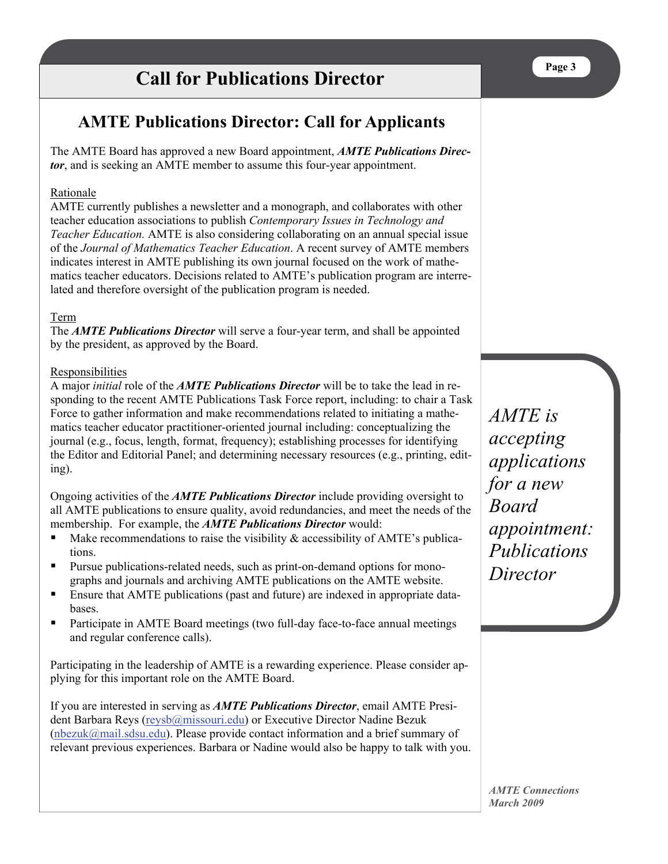# **Call for Publications Director**

# **AMTE Publications Director: Call for Applicants**

The AMTE Board has approved a new Board appointment, *AMTE Publications Director*, and is seeking an AMTE member to assume this four-year appointment.

### Rationale

AMTE currently publishes a newsletter and a monograph, and collaborates with other teacher education associations to publish *Contemporary Issues in Technology and Teacher Education.* AMTE is also considering collaborating on an annual special issue of the *Journal of Mathematics Teacher Education*. A recent survey of AMTE members indicates interest in AMTE publishing its own journal focused on the work of mathematics teacher educators. Decisions related to AMTE's publication program are interrelated and therefore oversight of the publication program is needed.

### Term

The *AMTE Publications Director* will serve a four-year term, and shall be appointed by the president, as approved by the Board.

#### Responsibilities

A major *initial* role of the *AMTE Publications Director* will be to take the lead in responding to the recent AMTE Publications Task Force report, including: to chair a Task Force to gather information and make recommendations related to initiating a mathematics teacher educator practitioner-oriented journal including: conceptualizing the journal (e.g., focus, length, format, frequency); establishing processes for identifying the Editor and Editorial Panel; and determining necessary resources (e.g., printing, editing).

Ongoing activities of the *AMTE Publications Director* include providing oversight to all AMTE publications to ensure quality, avoid redundancies, and meet the needs of the membership. For example, the *AMTE Publications Director* would:

- $\blacksquare$  Make recommendations to raise the visibility & accessibility of AMTE's publications.
- Pursue publications-related needs, such as print-on-demand options for monographs and journals and archiving AMTE publications on the AMTE website.
- Ensure that AMTE publications (past and future) are indexed in appropriate databases.
- **Participate in AMTE Board meetings (two full-day face-to-face annual meetings** and regular conference calls).

Participating in the leadership of AMTE is a rewarding experience. Please consider applying for this important role on the AMTE Board.

If you are interested in serving as *AMTE Publications Director*, email AMTE President Barbara Reys ([reysb@missouri.edu](mailto:reysb@missouri.edu)) or Executive Director Nadine Bezuk ([nbezuk@mail.sdsu.edu](mailto:nbezuk@mail.sdsu.edu)). Please provide contact information and a brief summary of relevant previous experiences. Barbara or Nadine would also be happy to talk with you.

*AMTE is accepting applications for a new Board appointment: Publications Director*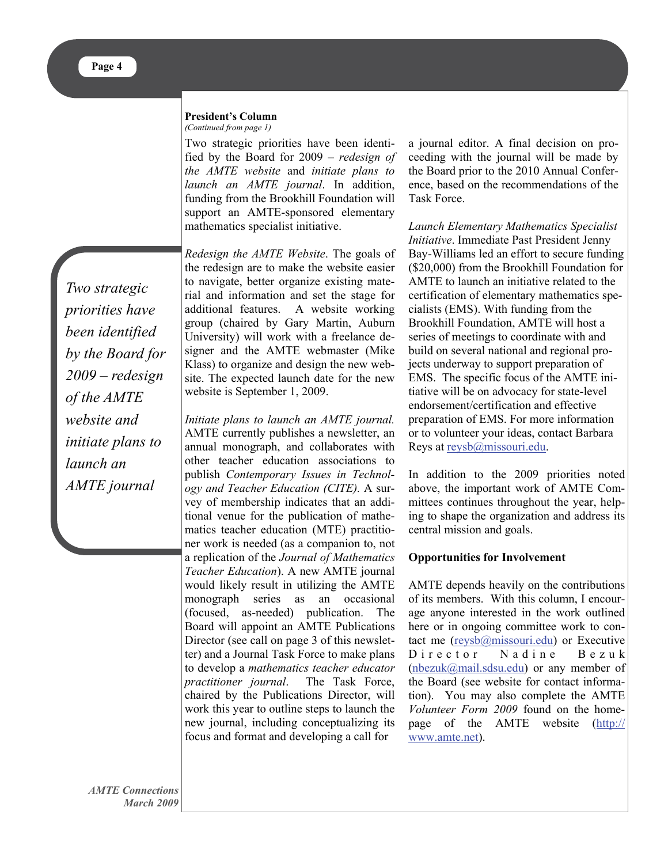#### **President's Column**  *(Continued from page 1)*

Two strategic priorities have been identified by the Board for 2009 – *redesign of the AMTE website* and *initiate plans to launch an AMTE journal*. In addition, funding from the Brookhill Foundation will support an AMTE-sponsored elementary mathematics specialist initiative.

*Two strategic priorities have been identified by the Board for 2009 – redesign of the AMTE website and initiate plans to launch an AMTE journal* 

*Redesign the AMTE Website*. The goals of the redesign are to make the website easier to navigate, better organize existing material and information and set the stage for additional features. A website working group (chaired by Gary Martin, Auburn University) will work with a freelance designer and the AMTE webmaster (Mike Klass) to organize and design the new website. The expected launch date for the new website is September 1, 2009.

*Initiate plans to launch an AMTE journal.* AMTE currently publishes a newsletter, an annual monograph, and collaborates with other teacher education associations to publish *Contemporary Issues in Technology and Teacher Education (CITE).* A survey of membership indicates that an additional venue for the publication of mathematics teacher education (MTE) practitioner work is needed (as a companion to, not a replication of the *Journal of Mathematics Teacher Education*). A new AMTE journal would likely result in utilizing the AMTE monograph series as an occasional (focused, as-needed) publication. The Board will appoint an AMTE Publications Director (see call on page 3 of this newsletter) and a Journal Task Force to make plans to develop a *mathematics teacher educator practitioner journal*. The Task Force, chaired by the Publications Director, will work this year to outline steps to launch the new journal, including conceptualizing its focus and format and developing a call for

a journal editor. A final decision on proceeding with the journal will be made by the Board prior to the 2010 Annual Conference, based on the recommendations of the Task Force.

*Launch Elementary Mathematics Specialist Initiative*. Immediate Past President Jenny Bay-Williams led an effort to secure funding (\$20,000) from the Brookhill Foundation for AMTE to launch an initiative related to the certification of elementary mathematics specialists (EMS). With funding from the Brookhill Foundation, AMTE will host a series of meetings to coordinate with and build on several national and regional projects underway to support preparation of EMS. The specific focus of the AMTE initiative will be on advocacy for state-level endorsement/certification and effective preparation of EMS. For more information or to volunteer your ideas, contact Barbara Reys at [reysb@missouri.edu](mailto:reysb@missouri.edu).

In addition to the 2009 priorities noted above, the important work of AMTE Committees continues throughout the year, helping to shape the organization and address its central mission and goals.

#### **Opportunities for Involvement**

AMTE depends heavily on the contributions of its members. With this column, I encourage anyone interested in the work outlined here or in ongoing committee work to contact me ([reysb@missouri.edu](mailto:reysb@missouri.edu)) or Executive Director Nadine Bezuk [\(nbezuk@mail.sdsu.edu\)](mailto:nbezuk@mail.sdsu.edu) or any member of the Board (see website for contact information). You may also complete the AMTE *Volunteer Form 2009* found on the homepage of the AMTE website ([http://](mailto:http://www.amte.net) [www.amte.net](mailto:http://www.amte.net)).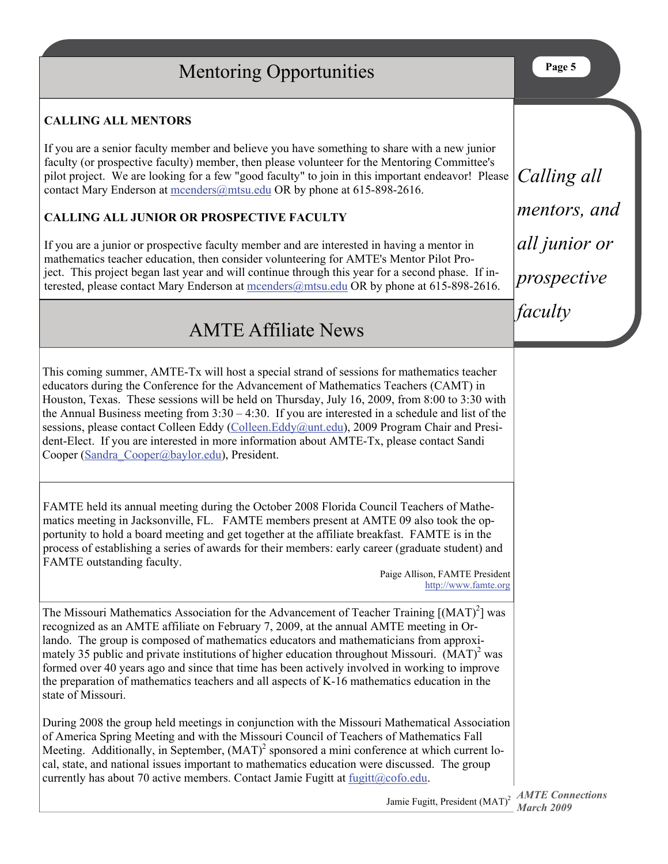# *AMTE Connections*  Jamie Fugitt, President (MAT)<sup>2</sup> *March 2009* **Page 5**  *Calling all mentors, and all junior or prospective faculty*  This coming summer, AMTE-Tx will host a special strand of sessions for mathematics teacher educators during the Conference for the Advancement of Mathematics Teachers (CAMT) in Houston, Texas. These sessions will be held on Thursday, July 16, 2009, from 8:00 to 3:30 with the Annual Business meeting from  $3:30 - 4:30$ . If you are interested in a schedule and list of the sessions, please contact Colleen Eddy ([Colleen.Eddy@unt.edu\)](mailto:Colleen.Eddy@unt.edu), 2009 Program Chair and President-Elect. If you are interested in more information about AMTE-Tx, please contact Sandi Cooper ([Sandra\\_Cooper@baylor.edu](mailto:Sandra_Cooper@baylor.edu)), President. Mentoring Opportunities **CALLING ALL MENTORS** If you are a senior faculty member and believe you have something to share with a new junior faculty (or prospective faculty) member, then please volunteer for the Mentoring Committee's pilot project. We are looking for a few "good faculty" to join in this important endeavor! Please contact Mary Enderson at [mcenders@mtsu.edu](mailto:mcenders@mtsu.edu) OR by phone at 615-898-2616. **CALLING ALL JUNIOR OR PROSPECTIVE FACULTY** If you are a junior or prospective faculty member and are interested in having a mentor in mathematics teacher education, then consider volunteering for AMTE's Mentor Pilot Project. This project began last year and will continue through this year for a second phase. If interested, please contact Mary Enderson at [mcenders@mtsu.edu](mailto:mcenders@mtsu.edu) OR by phone at 615-898-2616. FAMTE held its annual meeting during the October 2008 Florida Council Teachers of Mathematics meeting in Jacksonville, FL. FAMTE members present at AMTE 09 also took the opportunity to hold a board meeting and get together at the affiliate breakfast. FAMTE is in the process of establishing a series of awards for their members: early career (graduate student) and FAMTE outstanding faculty. Paige Allison, FAMTE President <http://www.famte.org> AMTE Affiliate News The Missouri Mathematics Association for the Advancement of Teacher Training  $[(MAT)^2]$  was recognized as an AMTE affiliate on February 7, 2009, at the annual AMTE meeting in Orlando. The group is composed of mathematics educators and mathematicians from approximately 35 public and private institutions of higher education throughout Missouri.  $(MAT)^2$  was formed over 40 years ago and since that time has been actively involved in working to improve the preparation of mathematics teachers and all aspects of K-16 mathematics education in the state of Missouri. During 2008 the group held meetings in conjunction with the Missouri Mathematical Association of America Spring Meeting and with the Missouri Council of Teachers of Mathematics Fall Meeting. Additionally, in September, (MAT)<sup>2</sup> sponsored a mini conference at which current local, state, and national issues important to mathematics education were discussed. The group currently has about 70 active members. Contact Jamie Fugitt at  $fugitt@cofo.edu$ .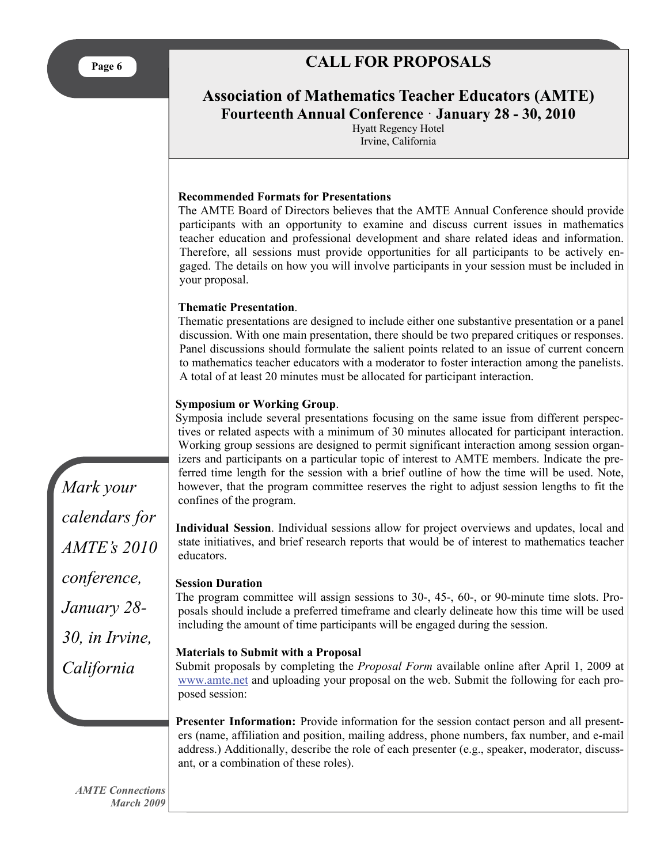# **CALL FOR PROPOSALS**

**Association of Mathematics Teacher Educators (AMTE) Fourteenth Annual Conference** · **January 28 - 30, 2010** 

> Hyatt Regency Hotel Irvine, California

#### **Recommended Formats for Presentations**

The AMTE Board of Directors believes that the AMTE Annual Conference should provide participants with an opportunity to examine and discuss current issues in mathematics teacher education and professional development and share related ideas and information. Therefore, all sessions must provide opportunities for all participants to be actively engaged. The details on how you will involve participants in your session must be included in your proposal.

#### **Thematic Presentation**.

Thematic presentations are designed to include either one substantive presentation or a panel discussion. With one main presentation, there should be two prepared critiques or responses. Panel discussions should formulate the salient points related to an issue of current concern to mathematics teacher educators with a moderator to foster interaction among the panelists. A total of at least 20 minutes must be allocated for participant interaction.

#### **Symposium or Working Group**.

Symposia include several presentations focusing on the same issue from different perspectives or related aspects with a minimum of 30 minutes allocated for participant interaction. Working group sessions are designed to permit significant interaction among session organizers and participants on a particular topic of interest to AMTE members. Indicate the preferred time length for the session with a brief outline of how the time will be used. Note, however, that the program committee reserves the right to adjust session lengths to fit the confines of the program.

**Individual Session**. Individual sessions allow for project overviews and updates, local and state initiatives, and brief research reports that would be of interest to mathematics teacher educators.

#### **Session Duration**

The program committee will assign sessions to 30-, 45-, 60-, or 90-minute time slots. Proposals should include a preferred timeframe and clearly delineate how this time will be used including the amount of time participants will be engaged during the session.

#### **Materials to Submit with a Proposal**

Submit proposals by completing the *Proposal Form* available online after April 1, 2009 at [www.amte.net](http://www.amte.net/) and uploading your proposal on the web. Submit the following for each proposed session:

**Presenter Information:** Provide information for the session contact person and all presenters (name, affiliation and position, mailing address, phone numbers, fax number, and e-mail address.) Additionally, describe the role of each presenter (e.g., speaker, moderator, discussant, or a combination of these roles).

*Mark your calendars for AMTE's 2010 conference, January 28- 30, in Irvine, California*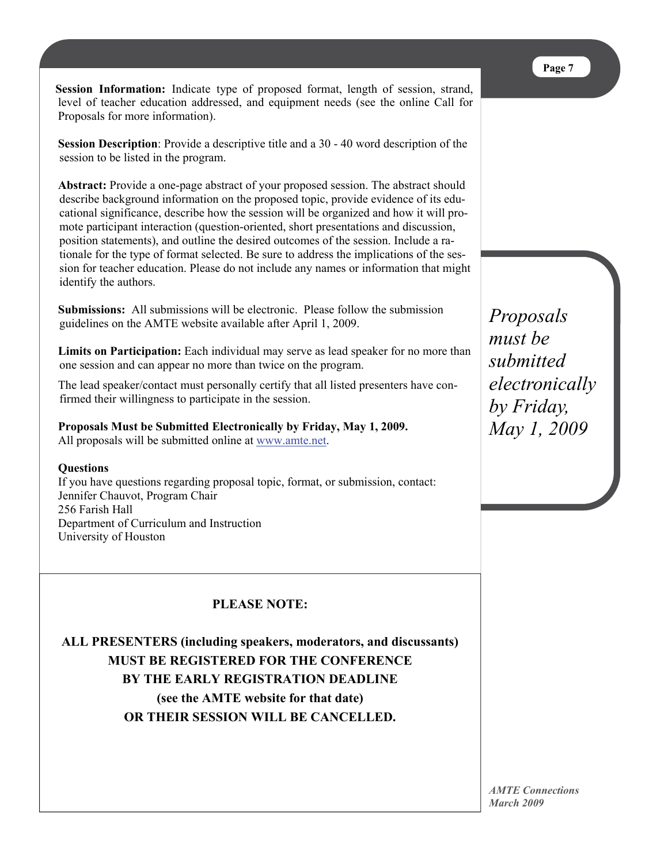**Session Information:** Indicate type of proposed format, length of session, strand, level of teacher education addressed, and equipment needs (see the online Call for Proposals for more information).

**Session Description**: Provide a descriptive title and a 30 - 40 word description of the session to be listed in the program.

**Abstract:** Provide a one-page abstract of your proposed session. The abstract should describe background information on the proposed topic, provide evidence of its educational significance, describe how the session will be organized and how it will promote participant interaction (question-oriented, short presentations and discussion, position statements), and outline the desired outcomes of the session. Include a rationale for the type of format selected. Be sure to address the implications of the session for teacher education. Please do not include any names or information that might identify the authors.

**Submissions:** All submissions will be electronic. Please follow the submission guidelines on the AMTE website available after April 1, 2009.

**Limits on Participation:** Each individual may serve as lead speaker for no more than one session and can appear no more than twice on the program.

The lead speaker/contact must personally certify that all listed presenters have confirmed their willingness to participate in the session.

**Proposals Must be Submitted Electronically by Friday, May 1, 2009.** All proposals will be submitted online at [www.amte.net](http://www.amte.net/).

## **Questions**

If you have questions regarding proposal topic, format, or submission, contact: Jennifer Chauvot, Program Chair 256 Farish Hall Department of Curriculum and Instruction University of Houston

**PLEASE NOTE:** 

**ALL PRESENTERS (including speakers, moderators, and discussants) MUST BE REGISTERED FOR THE CONFERENCE BY THE EARLY REGISTRATION DEADLINE (see the AMTE website for that date) OR THEIR SESSION WILL BE CANCELLED.** 

*Proposals must be submitted electronically by Friday, May 1, 2009*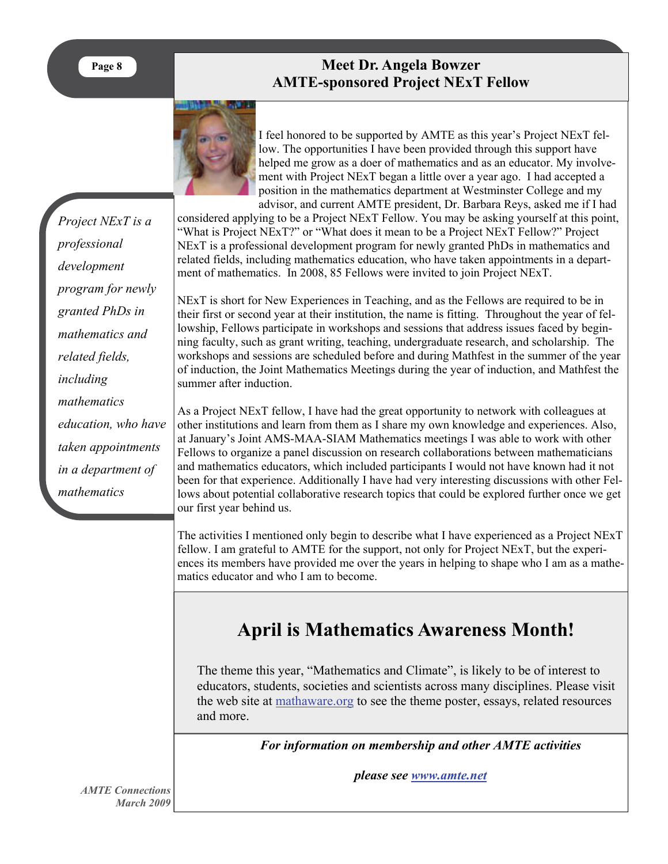**Page 8** 

# **Meet Angela Bowzer Meet Dr. Angela Bowzer AMTE-sponsored Project NExT Fellow**



I feel honored to be supported by AMTE as this year's Project NExT fellow. The opportunities I have been provided through this support have helped me grow as a doer of mathematics and as an educator. My involvement with Project NExT began a little over a year ago. I had accepted a position in the mathematics department at Westminster College and my advisor, and current AMTE president, Dr. Barbara Reys, asked me if I had

considered applying to be a Project NExT Fellow. You may be asking yourself at this point, "What is Project NExT?" or "What does it mean to be a Project NExT Fellow?" Project NExT is a professional development program for newly granted PhDs in mathematics and related fields, including mathematics education, who have taken appointments in a department of mathematics. In 2008, 85 Fellows were invited to join Project NExT.

NExT is short for New Experiences in Teaching, and as the Fellows are required to be in their first or second year at their institution, the name is fitting. Throughout the year of fellowship, Fellows participate in workshops and sessions that address issues faced by beginning faculty, such as grant writing, teaching, undergraduate research, and scholarship. The workshops and sessions are scheduled before and during Mathfest in the summer of the year of induction, the Joint Mathematics Meetings during the year of induction, and Mathfest the summer after induction.

As a Project NExT fellow, I have had the great opportunity to network with colleagues at other institutions and learn from them as I share my own knowledge and experiences. Also, at January's Joint AMS-MAA-SIAM Mathematics meetings I was able to work with other Fellows to organize a panel discussion on research collaborations between mathematicians and mathematics educators, which included participants I would not have known had it not been for that experience. Additionally I have had very interesting discussions with other Fellows about potential collaborative research topics that could be explored further once we get our first year behind us.

The activities I mentioned only begin to describe what I have experienced as a Project NExT fellow. I am grateful to AMTE for the support, not only for Project NExT, but the experiences its members have provided me over the years in helping to shape who I am as a mathematics educator and who I am to become.

# **April is Mathematics Awareness Month!**

The theme this year, "Mathematics and Climate", is likely to be of interest to educators, students, societies and scientists across many disciplines. Please visit the web site at mathaware.org to see the theme poster, essays, related resources and more.

*For information on membership and other AMTE activities* 

*please see [www.amte.net](http://www.amte.net/)*

*Project NExT is a professional development program for newly granted PhDs in mathematics and related fields, including mathematics education, who have taken appointments in a department of mathematics*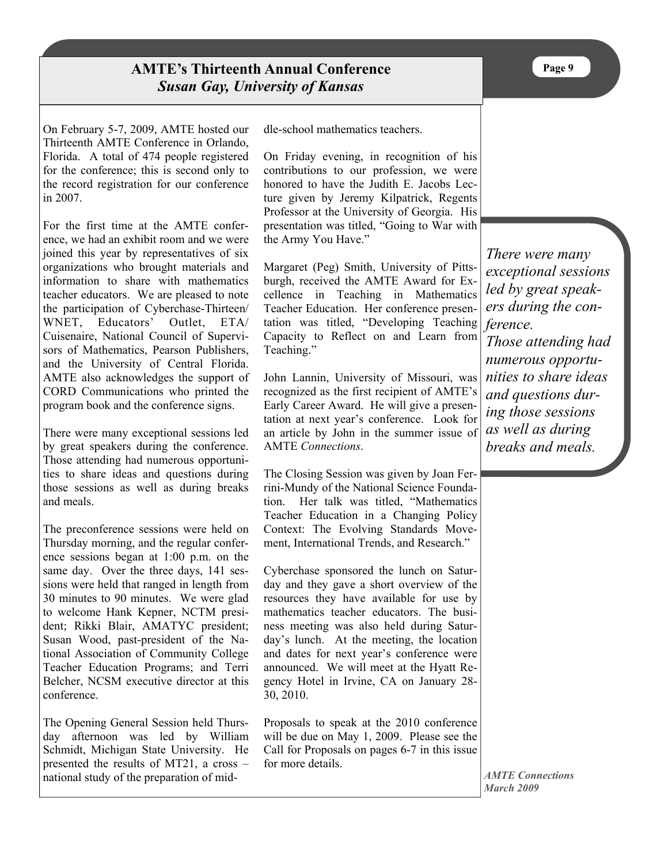On February 5-7, 2009, AMTE hosted our Thirteenth AMTE Conference in Orlando, Florida. A total of 474 people registered for the conference; this is second only to the record registration for our conference in 2007.

For the first time at the AMTE conference, we had an exhibit room and we were joined this year by representatives of six organizations who brought materials and information to share with mathematics teacher educators. We are pleased to note the participation of Cyberchase-Thirteen/ WNET, Educators' Outlet, ETA/ Cuisenaire, National Council of Supervisors of Mathematics, Pearson Publishers, and the University of Central Florida. AMTE also acknowledges the support of CORD Communications who printed the program book and the conference signs.

There were many exceptional sessions led by great speakers during the conference. Those attending had numerous opportunities to share ideas and questions during those sessions as well as during breaks and meals.

The preconference sessions were held on Thursday morning, and the regular conference sessions began at 1:00 p.m. on the same day. Over the three days, 141 sessions were held that ranged in length from 30 minutes to 90 minutes. We were glad to welcome Hank Kepner, NCTM president; Rikki Blair, AMATYC president; Susan Wood, past-president of the National Association of Community College Teacher Education Programs; and Terri Belcher, NCSM executive director at this conference.

The Opening General Session held Thursday afternoon was led by William Schmidt, Michigan State University. He presented the results of MT21, a cross – national study of the preparation of middle-school mathematics teachers.

On Friday evening, in recognition of his contributions to our profession, we were honored to have the Judith E. Jacobs Lecture given by Jeremy Kilpatrick, Regents Professor at the University of Georgia. His presentation was titled, "Going to War with the Army You Have."

Margaret (Peg) Smith, University of Pittsburgh, received the AMTE Award for Excellence in Teaching in Mathematics Teacher Education. Her conference presentation was titled, "Developing Teaching Capacity to Reflect on and Learn from Teaching."

John Lannin, University of Missouri, was recognized as the first recipient of AMTE's Early Career Award. He will give a presentation at next year's conference. Look for an article by John in the summer issue of AMTE *Connections*.

The Closing Session was given by Joan Ferrini-Mundy of the National Science Foundation. Her talk was titled, "Mathematics Teacher Education in a Changing Policy Context: The Evolving Standards Movement, International Trends, and Research."

Cyberchase sponsored the lunch on Saturday and they gave a short overview of the resources they have available for use by mathematics teacher educators. The business meeting was also held during Saturday's lunch. At the meeting, the location and dates for next year's conference were announced. We will meet at the Hyatt Regency Hotel in Irvine, CA on January 28- 30, 2010.

Proposals to speak at the 2010 conference will be due on May 1, 2009. Please see the Call for Proposals on pages 6-7 in this issue for more details.

*There were many exceptional sessions led by great speakers during the conference.* 

*Those attending had numerous opportunities to share ideas and questions during those sessions as well as during breaks and meals.*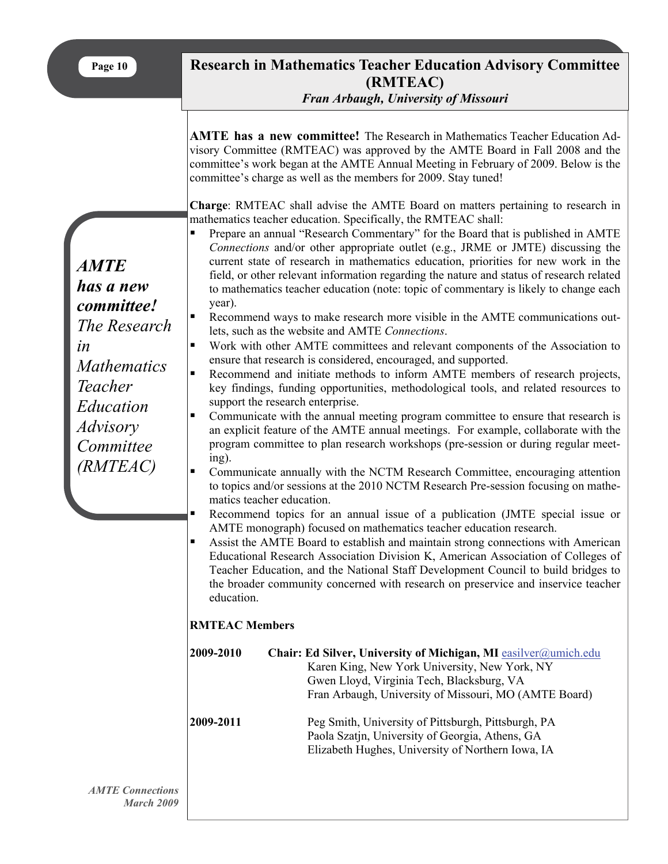| Page | 10 |
|------|----|
|------|----|

# **Research in Mathematics Teacher Education Advisory Committee (RMTEAC)**

*Fran Arbaugh, University of Missouri*

**AMTE has a new committee!** The Research in Mathematics Teacher Education Advisory Committee (RMTEAC) was approved by the AMTE Board in Fall 2008 and the committee's work began at the AMTE Annual Meeting in February of 2009. Below is the committee's charge as well as the members for 2009. Stay tuned!

**Charge**: RMTEAC shall advise the AMTE Board on matters pertaining to research in mathematics teacher education. Specifically, the RMTEAC shall:

|                                                                                                                                                 | mathematics teacher education. Specifically, the RMTEAC shall:                                                                                                                                                                                                                                                                                                                                                                                                                                                                                                                                                                                                                                                                                                                                                                                                                                                                                                                                                                                                                                                                                                                                                                                                                                                                                                                                                                                                                                                                                                                                                                                                                                                                                                                                                                                                                                                                                                                                                                                 |
|-------------------------------------------------------------------------------------------------------------------------------------------------|------------------------------------------------------------------------------------------------------------------------------------------------------------------------------------------------------------------------------------------------------------------------------------------------------------------------------------------------------------------------------------------------------------------------------------------------------------------------------------------------------------------------------------------------------------------------------------------------------------------------------------------------------------------------------------------------------------------------------------------------------------------------------------------------------------------------------------------------------------------------------------------------------------------------------------------------------------------------------------------------------------------------------------------------------------------------------------------------------------------------------------------------------------------------------------------------------------------------------------------------------------------------------------------------------------------------------------------------------------------------------------------------------------------------------------------------------------------------------------------------------------------------------------------------------------------------------------------------------------------------------------------------------------------------------------------------------------------------------------------------------------------------------------------------------------------------------------------------------------------------------------------------------------------------------------------------------------------------------------------------------------------------------------------------|
| <i>AMTE</i><br>has a new<br>committee!<br>The Research<br>in<br><b>Mathematics</b><br>Teacher<br>Education<br>Advisory<br>Committee<br>(RMTEAC) | Prepare an annual "Research Commentary" for the Board that is published in AMTE<br>Connections and/or other appropriate outlet (e.g., JRME or JMTE) discussing the<br>current state of research in mathematics education, priorities for new work in the<br>field, or other relevant information regarding the nature and status of research related<br>to mathematics teacher education (note: topic of commentary is likely to change each<br>year).<br>Recommend ways to make research more visible in the AMTE communications out-<br>٠<br>lets, such as the website and AMTE Connections.<br>Work with other AMTE committees and relevant components of the Association to<br>$\blacksquare$<br>ensure that research is considered, encouraged, and supported.<br>Recommend and initiate methods to inform AMTE members of research projects,<br>$\blacksquare$<br>key findings, funding opportunities, methodological tools, and related resources to<br>support the research enterprise.<br>Communicate with the annual meeting program committee to ensure that research is<br>٠<br>an explicit feature of the AMTE annual meetings. For example, collaborate with the<br>program committee to plan research workshops (pre-session or during regular meet-<br>ing).<br>Communicate annually with the NCTM Research Committee, encouraging attention<br>$\blacksquare$<br>to topics and/or sessions at the 2010 NCTM Research Pre-session focusing on mathe-<br>matics teacher education.<br>Recommend topics for an annual issue of a publication (JMTE special issue or<br>п<br>AMTE monograph) focused on mathematics teacher education research.<br>Assist the AMTE Board to establish and maintain strong connections with American<br>$\blacksquare$<br>Educational Research Association Division K, American Association of Colleges of<br>Teacher Education, and the National Staff Development Council to build bridges to<br>the broader community concerned with research on preservice and inservice teacher<br>education. |
|                                                                                                                                                 | <b>RMTEAC Members</b>                                                                                                                                                                                                                                                                                                                                                                                                                                                                                                                                                                                                                                                                                                                                                                                                                                                                                                                                                                                                                                                                                                                                                                                                                                                                                                                                                                                                                                                                                                                                                                                                                                                                                                                                                                                                                                                                                                                                                                                                                          |
|                                                                                                                                                 | 2009-2010<br>Chair: Ed Silver, University of Michigan, MI easilver@umich.edu<br>Karen King, New York University, New York, NY<br>Gwen Lloyd, Virginia Tech, Blacksburg, VA<br>Fran Arbaugh, University of Missouri, MO (AMTE Board)                                                                                                                                                                                                                                                                                                                                                                                                                                                                                                                                                                                                                                                                                                                                                                                                                                                                                                                                                                                                                                                                                                                                                                                                                                                                                                                                                                                                                                                                                                                                                                                                                                                                                                                                                                                                            |

**2009-2011** Peg Smith, University of Pittsburgh, Pittsburgh, PA Paola Szatjn, University of Georgia, Athens, GA Elizabeth Hughes, University of Northern Iowa, IA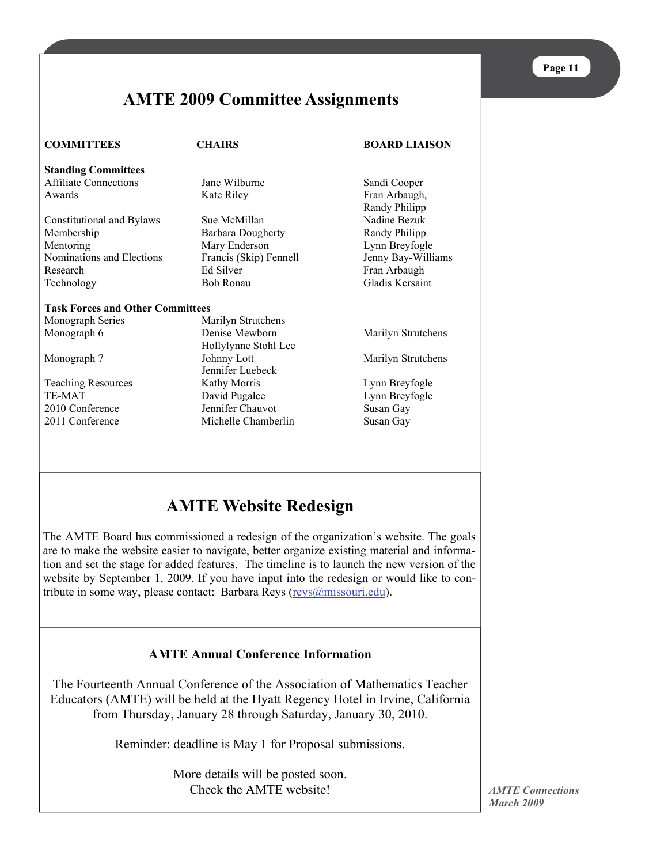# **AMTE 2009 Committee Assignments**

**COMMITTEES CHAIRS BOARD LIAISON** 

**Standing Committees**  Affiliate Connections Jane Wilburne Sandi Cooper Awards **Kate Riley Fran Arbaugh**, **Example 20** Kate Riley Fran Arbaugh,

Constitutional and Bylaws Sue McMillan Nadine Bezuk Membership Barbara Dougherty Randy Philipp Mentoring Mary Enderson Lynn Breyfogle Nominations and Elections Francis (Skip) Fennell Jenny Bay-Williams Research Ed Silver Fran Arbaugh Technology Bob Ronau Gladis Kersaint

#### **Task Forces and Other Committees**

Monograph Series Marilyn Strutchens Monograph 6 Denise Mewborn Marilyn Strutchens Hollylynne Stohl Lee Monograph 7 **Johnny Lott** Marilyn Strutchens Jennifer Luebeck Teaching Resources Kathy Morris Lynn Breyfogle TE-MAT David Pugalee Lynn Breyfogle 2010 Conference Jennifer Chauvot Susan Gay 2011 Conference Michelle Chamberlin Susan Gay

Randy Philipp

# **AMTE Website Redesign**

The AMTE Board has commissioned a redesign of the organization's website. The goals are to make the website easier to navigate, better organize existing material and information and set the stage for added features. The timeline is to launch the new version of the website by September 1, 2009. If you have input into the redesign or would like to contribute in some way, please contact: Barbara Reys ([reys@missouri.edu\)](mailto:reys@missouri.edu).

## **AMTE Annual Conference Information**

The Fourteenth Annual Conference of the Association of Mathematics Teacher Educators (AMTE) will be held at the Hyatt Regency Hotel in Irvine, California from Thursday, January 28 through Saturday, January 30, 2010.

Reminder: deadline is May 1 for Proposal submissions.

More details will be posted soon. Check the AMTE website!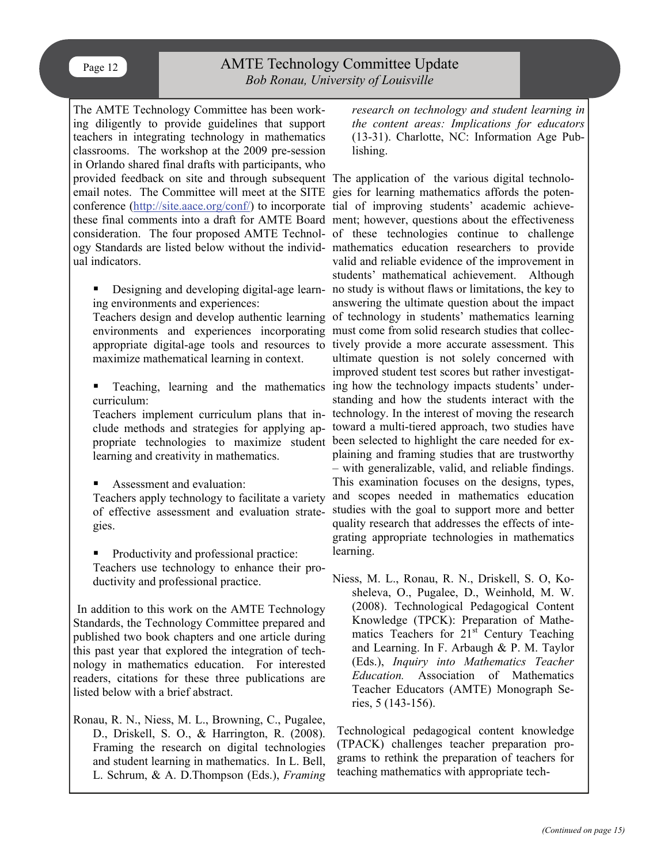## AMTE Technology Committee Update *Bob Ronau, University of Louisville*

The AMTE Technology Committee has been working diligently to provide guidelines that support teachers in integrating technology in mathematics classrooms. The workshop at the 2009 pre-session in Orlando shared final drafts with participants, who provided feedback on site and through subsequent The application of the various digital technoloemail notes. The Committee will meet at the SITE gies for learning mathematics affords the potenconference (<http://site.aace.org/conf/>) to incorporate tial of improving students' academic achievethese final comments into a draft for AMTE Board ment; however, questions about the effectiveness consideration. The four proposed AMTE Technol-of these technologies continue to challenge ogy Standards are listed below without the individ-mathematics education researchers to provide ual indicators.

Designing and developing digital-age learning environments and experiences:

maximize mathematical learning in context.

curriculum:

clude methods and strategies for applying aplearning and creativity in mathematics.

Assessment and evaluation:

Teachers apply technology to facilitate a variety of effective assessment and evaluation strategies.

Productivity and professional practice: Teachers use technology to enhance their productivity and professional practice.

In addition to this work on the AMTE Technology Standards, the Technology Committee prepared and published two book chapters and one article during this past year that explored the integration of technology in mathematics education. For interested readers, citations for these three publications are listed below with a brief abstract.

Ronau, R. N., Niess, M. L., Browning, C., Pugalee, D., Driskell, S. O., & Harrington, R. (2008). Framing the research on digital technologies and student learning in mathematics. In L. Bell, L. Schrum, & A. D.Thompson (Eds.), *Framing*  *research on technology and student learning in the content areas: Implications for educators*  (13-31). Charlotte, NC: Information Age Publishing.

Teachers design and develop authentic learning of technology in students' mathematics learning environments and experiences incorporating must come from solid research studies that collecappropriate digital-age tools and resources to tively provide a more accurate assessment. This **Teaching, learning and the mathematics ing how the technology impacts students' under-**Teachers implement curriculum plans that in-technology. In the interest of moving the research propriate technologies to maximize student been selected to highlight the care needed for exvalid and reliable evidence of the improvement in students' mathematical achievement. Although no study is without flaws or limitations, the key to answering the ultimate question about the impact ultimate question is not solely concerned with improved student test scores but rather investigatstanding and how the students interact with the toward a multi-tiered approach, two studies have plaining and framing studies that are trustworthy – with generalizable, valid, and reliable findings. This examination focuses on the designs, types, and scopes needed in mathematics education studies with the goal to support more and better quality research that addresses the effects of integrating appropriate technologies in mathematics learning.

> Niess, M. L., Ronau, R. N., Driskell, S. O, Kosheleva, O., Pugalee, D., Weinhold, M. W. (2008). Technological Pedagogical Content Knowledge (TPCK): Preparation of Mathematics Teachers for  $21<sup>st</sup>$  Century Teaching and Learning. In F. Arbaugh & P. M. Taylor (Eds.), *Inquiry into Mathematics Teacher Education.* Association of Mathematics Teacher Educators (AMTE) Monograph Series, 5 (143-156).

Technological pedagogical content knowledge (TPACK) challenges teacher preparation programs to rethink the preparation of teachers for teaching mathematics with appropriate tech-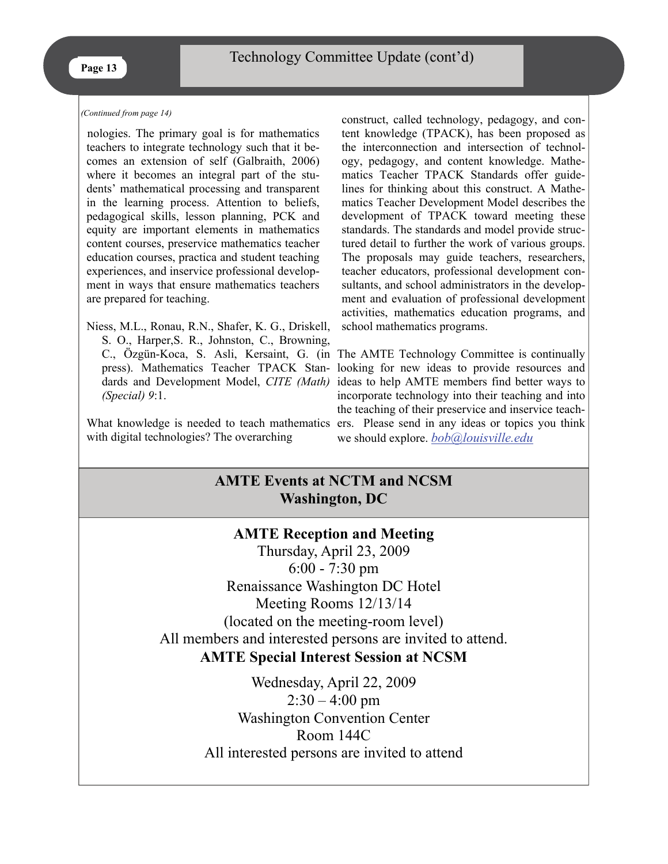#### *(Continued from page 14)*

nologies. The primary goal is for mathematics teachers to integrate technology such that it becomes an extension of self (Galbraith, 2006) where it becomes an integral part of the students' mathematical processing and transparent in the learning process. Attention to beliefs, pedagogical skills, lesson planning, PCK and equity are important elements in mathematics content courses, preservice mathematics teacher education courses, practica and student teaching experiences, and inservice professional development in ways that ensure mathematics teachers are prepared for teaching.

Niess, M.L., Ronau, R.N., Shafer, K. G., Driskell, S. O., Harper,S. R., Johnston, C., Browning, press). Mathematics Teacher TPACK Standards and Development Model, *CITE (Math) (Special) 9*:1.

with digital technologies? The overarching

construct, called technology, pedagogy, and content knowledge (TPACK), has been proposed as the interconnection and intersection of technology, pedagogy, and content knowledge. Mathematics Teacher TPACK Standards offer guidelines for thinking about this construct. A Mathematics Teacher Development Model describes the development of TPACK toward meeting these standards. The standards and model provide structured detail to further the work of various groups. The proposals may guide teachers, researchers, teacher educators, professional development consultants, and school administrators in the development and evaluation of professional development activities, mathematics education programs, and school mathematics programs.

C., Özgün-Koca, S. Asli, Kersaint, G. (in The AMTE Technology Committee is continually What knowledge is needed to teach mathematics ers. Please send in any ideas or topics you think looking for new ideas to provide resources and ideas to help AMTE members find better ways to incorporate technology into their teaching and into the teaching of their preservice and inservice teachwe should explore. *[bob@louisville.edu](mailto:bob@louisville.edu)*

# **AMTE Events at NCTM and NCSM Washington, DC**

### **AMTE Reception and Meeting**

Thursday, April 23, 2009 6:00 - 7:30 pm Renaissance Washington DC Hotel Meeting Rooms 12/13/14 (located on the meeting-room level) All members and interested persons are invited to attend. **AMTE Special Interest Session at NCSM** 

> Wednesday, April 22, 2009  $2:30 - 4:00$  pm Washington Convention Center Room 144C All interested persons are invited to attend